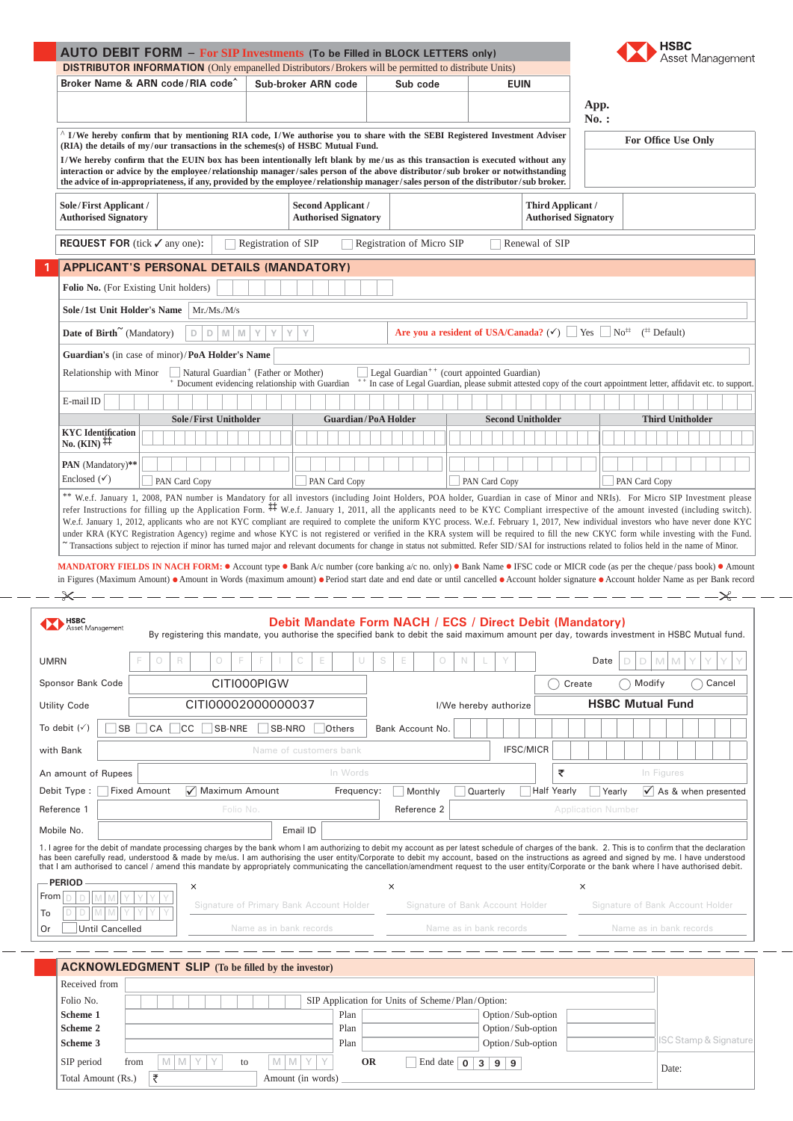|                                                                                                                                                                                                                                                                                                                                                                                                                                                                                                                                                                                                                                                                                                                                                                                                                                                                                                                                                                   |                                                                                                                                                                                                                                                                                                                                                                                                                                                                                          | <b>AUTO DEBIT FORM - For SIP Investments (To be Filled in BLOCK LETTERS only)</b><br><b>DISTRIBUTOR INFORMATION</b> (Only empanelled Distributors/Brokers will be permitted to distribute Units)                                                                                                                                                                                                                                                                                                                                                                                                        |                                                                                                      |                                                                                                                                                                                                             |                                                                                                                                                                                            |                                       |                                                                                                               |                                     | <b>HSBC</b>                       | sset Management                          |  |
|-------------------------------------------------------------------------------------------------------------------------------------------------------------------------------------------------------------------------------------------------------------------------------------------------------------------------------------------------------------------------------------------------------------------------------------------------------------------------------------------------------------------------------------------------------------------------------------------------------------------------------------------------------------------------------------------------------------------------------------------------------------------------------------------------------------------------------------------------------------------------------------------------------------------------------------------------------------------|------------------------------------------------------------------------------------------------------------------------------------------------------------------------------------------------------------------------------------------------------------------------------------------------------------------------------------------------------------------------------------------------------------------------------------------------------------------------------------------|---------------------------------------------------------------------------------------------------------------------------------------------------------------------------------------------------------------------------------------------------------------------------------------------------------------------------------------------------------------------------------------------------------------------------------------------------------------------------------------------------------------------------------------------------------------------------------------------------------|------------------------------------------------------------------------------------------------------|-------------------------------------------------------------------------------------------------------------------------------------------------------------------------------------------------------------|--------------------------------------------------------------------------------------------------------------------------------------------------------------------------------------------|---------------------------------------|---------------------------------------------------------------------------------------------------------------|-------------------------------------|-----------------------------------|------------------------------------------|--|
|                                                                                                                                                                                                                                                                                                                                                                                                                                                                                                                                                                                                                                                                                                                                                                                                                                                                                                                                                                   |                                                                                                                                                                                                                                                                                                                                                                                                                                                                                          | Broker Name & ARN code/RIA code <sup>2</sup>                                                                                                                                                                                                                                                                                                                                                                                                                                                                                                                                                            |                                                                                                      | Sub-broker ARN code                                                                                                                                                                                         | Sub code                                                                                                                                                                                   |                                       | <b>EUIN</b>                                                                                                   |                                     |                                   |                                          |  |
|                                                                                                                                                                                                                                                                                                                                                                                                                                                                                                                                                                                                                                                                                                                                                                                                                                                                                                                                                                   |                                                                                                                                                                                                                                                                                                                                                                                                                                                                                          |                                                                                                                                                                                                                                                                                                                                                                                                                                                                                                                                                                                                         |                                                                                                      |                                                                                                                                                                                                             |                                                                                                                                                                                            |                                       |                                                                                                               | App.                                |                                   |                                          |  |
|                                                                                                                                                                                                                                                                                                                                                                                                                                                                                                                                                                                                                                                                                                                                                                                                                                                                                                                                                                   | $No.$ :<br><sup>^</sup> I/We hereby confirm that by mentioning RIA code, I/We authorise you to share with the SEBI Registered Investment Adviser                                                                                                                                                                                                                                                                                                                                         |                                                                                                                                                                                                                                                                                                                                                                                                                                                                                                                                                                                                         |                                                                                                      |                                                                                                                                                                                                             |                                                                                                                                                                                            |                                       |                                                                                                               |                                     |                                   |                                          |  |
|                                                                                                                                                                                                                                                                                                                                                                                                                                                                                                                                                                                                                                                                                                                                                                                                                                                                                                                                                                   | (RIA) the details of my/our transactions in the schemes(s) of HSBC Mutual Fund.<br>I/We hereby confirm that the EUIN box has been intentionally left blank by me/us as this transaction is executed without any<br>interaction or advice by the employee/relationship manager/sales person of the above distributor/sub broker or notwithstanding<br>the advice of in-appropriateness, if any, provided by the employee/relationship manager/sales person of the distributor/sub broker. |                                                                                                                                                                                                                                                                                                                                                                                                                                                                                                                                                                                                         |                                                                                                      |                                                                                                                                                                                                             |                                                                                                                                                                                            |                                       |                                                                                                               |                                     | For Office Use Only               |                                          |  |
|                                                                                                                                                                                                                                                                                                                                                                                                                                                                                                                                                                                                                                                                                                                                                                                                                                                                                                                                                                   | Sole/First Applicant /<br><b>Authorised Signatory</b>                                                                                                                                                                                                                                                                                                                                                                                                                                    |                                                                                                                                                                                                                                                                                                                                                                                                                                                                                                                                                                                                         |                                                                                                      | <b>Second Applicant /</b><br><b>Authorised Signatory</b>                                                                                                                                                    |                                                                                                                                                                                            |                                       | Third Applicant /<br><b>Authorised Signatory</b>                                                              |                                     |                                   |                                          |  |
|                                                                                                                                                                                                                                                                                                                                                                                                                                                                                                                                                                                                                                                                                                                                                                                                                                                                                                                                                                   | <b>REQUEST FOR</b> (tick $\checkmark$ any one):                                                                                                                                                                                                                                                                                                                                                                                                                                          |                                                                                                                                                                                                                                                                                                                                                                                                                                                                                                                                                                                                         | Registration of SIP                                                                                  |                                                                                                                                                                                                             | Registration of Micro SIP                                                                                                                                                                  |                                       | Renewal of SIP                                                                                                |                                     |                                   |                                          |  |
|                                                                                                                                                                                                                                                                                                                                                                                                                                                                                                                                                                                                                                                                                                                                                                                                                                                                                                                                                                   |                                                                                                                                                                                                                                                                                                                                                                                                                                                                                          | <b>APPLICANT'S PERSONAL DETAILS (MANDATORY)</b>                                                                                                                                                                                                                                                                                                                                                                                                                                                                                                                                                         |                                                                                                      |                                                                                                                                                                                                             |                                                                                                                                                                                            |                                       |                                                                                                               |                                     |                                   |                                          |  |
|                                                                                                                                                                                                                                                                                                                                                                                                                                                                                                                                                                                                                                                                                                                                                                                                                                                                                                                                                                   |                                                                                                                                                                                                                                                                                                                                                                                                                                                                                          | Folio No. (For Existing Unit holders)                                                                                                                                                                                                                                                                                                                                                                                                                                                                                                                                                                   |                                                                                                      |                                                                                                                                                                                                             |                                                                                                                                                                                            |                                       |                                                                                                               |                                     |                                   |                                          |  |
|                                                                                                                                                                                                                                                                                                                                                                                                                                                                                                                                                                                                                                                                                                                                                                                                                                                                                                                                                                   |                                                                                                                                                                                                                                                                                                                                                                                                                                                                                          | Sole/1st Unit Holder's Name   Mr./Ms./M/s                                                                                                                                                                                                                                                                                                                                                                                                                                                                                                                                                               |                                                                                                      |                                                                                                                                                                                                             |                                                                                                                                                                                            |                                       |                                                                                                               |                                     |                                   |                                          |  |
|                                                                                                                                                                                                                                                                                                                                                                                                                                                                                                                                                                                                                                                                                                                                                                                                                                                                                                                                                                   | Date of Birth <sup>~</sup> (Mandatory)                                                                                                                                                                                                                                                                                                                                                                                                                                                   | $D$ $D$ $M$ $M$                                                                                                                                                                                                                                                                                                                                                                                                                                                                                                                                                                                         | Y<br>Y<br>Y                                                                                          | Y                                                                                                                                                                                                           |                                                                                                                                                                                            |                                       | Are you a resident of USA/Canada? ( $\checkmark$ ) $\Box$ Yes $\Box$ No <sup>‡‡</sup> ( <sup>#</sup> Default) |                                     |                                   |                                          |  |
| Guardian's (in case of minor)/PoA Holder's Name                                                                                                                                                                                                                                                                                                                                                                                                                                                                                                                                                                                                                                                                                                                                                                                                                                                                                                                   |                                                                                                                                                                                                                                                                                                                                                                                                                                                                                          |                                                                                                                                                                                                                                                                                                                                                                                                                                                                                                                                                                                                         |                                                                                                      |                                                                                                                                                                                                             |                                                                                                                                                                                            |                                       |                                                                                                               |                                     |                                   |                                          |  |
|                                                                                                                                                                                                                                                                                                                                                                                                                                                                                                                                                                                                                                                                                                                                                                                                                                                                                                                                                                   | Relationship with Minor                                                                                                                                                                                                                                                                                                                                                                                                                                                                  |                                                                                                                                                                                                                                                                                                                                                                                                                                                                                                                                                                                                         | Natural Guardian <sup>+</sup> (Father or Mother)<br>+ Document evidencing relationship with Guardian |                                                                                                                                                                                                             | Legal Guardian <sup>++</sup> (court appointed Guardian)<br><sup>+</sup> In case of Legal Guardian, please submit attested copy of the court appointment letter, affidavit etc. to support. |                                       |                                                                                                               |                                     |                                   |                                          |  |
|                                                                                                                                                                                                                                                                                                                                                                                                                                                                                                                                                                                                                                                                                                                                                                                                                                                                                                                                                                   | E-mail ID                                                                                                                                                                                                                                                                                                                                                                                                                                                                                |                                                                                                                                                                                                                                                                                                                                                                                                                                                                                                                                                                                                         |                                                                                                      |                                                                                                                                                                                                             |                                                                                                                                                                                            |                                       |                                                                                                               |                                     |                                   |                                          |  |
|                                                                                                                                                                                                                                                                                                                                                                                                                                                                                                                                                                                                                                                                                                                                                                                                                                                                                                                                                                   |                                                                                                                                                                                                                                                                                                                                                                                                                                                                                          | <b>Sole/First Unitholder</b>                                                                                                                                                                                                                                                                                                                                                                                                                                                                                                                                                                            |                                                                                                      | <b>Guardian/PoA Holder</b>                                                                                                                                                                                  |                                                                                                                                                                                            |                                       | <b>Second Unitholder</b>                                                                                      |                                     | <b>Third Unitholder</b>           |                                          |  |
|                                                                                                                                                                                                                                                                                                                                                                                                                                                                                                                                                                                                                                                                                                                                                                                                                                                                                                                                                                   | <b>KYC</b> Identification<br>No. (KIN) $\ddot{+}\ddot{+}$                                                                                                                                                                                                                                                                                                                                                                                                                                |                                                                                                                                                                                                                                                                                                                                                                                                                                                                                                                                                                                                         |                                                                                                      |                                                                                                                                                                                                             |                                                                                                                                                                                            |                                       |                                                                                                               |                                     |                                   |                                          |  |
|                                                                                                                                                                                                                                                                                                                                                                                                                                                                                                                                                                                                                                                                                                                                                                                                                                                                                                                                                                   | PAN (Mandatory)**                                                                                                                                                                                                                                                                                                                                                                                                                                                                        |                                                                                                                                                                                                                                                                                                                                                                                                                                                                                                                                                                                                         |                                                                                                      |                                                                                                                                                                                                             |                                                                                                                                                                                            |                                       |                                                                                                               |                                     |                                   |                                          |  |
|                                                                                                                                                                                                                                                                                                                                                                                                                                                                                                                                                                                                                                                                                                                                                                                                                                                                                                                                                                   | Enclosed $(\checkmark)$                                                                                                                                                                                                                                                                                                                                                                                                                                                                  | <b>PAN</b> Card Copy                                                                                                                                                                                                                                                                                                                                                                                                                                                                                                                                                                                    |                                                                                                      | PAN Card Copy                                                                                                                                                                                               |                                                                                                                                                                                            | PAN Card Copy                         |                                                                                                               |                                     | PAN Card Copy                     |                                          |  |
| ** W.e.f. January 1, 2008, PAN number is Mandatory for all investors (including Joint Holders, POA holder, Guardian in case of Minor and NRIs). For Micro SIP Investment please<br>refer Instructions for filling up the Application Form. ## W.e.f. January 1, 2011, all the applicants need to be KYC Compliant irrespective of the amount invested (including switch).<br>W.e.f. January 1, 2012, applicants who are not KYC compliant are required to complete the uniform KYC process. W.e.f. February 1, 2017, New individual investors who have never done KYC<br>under KRA (KYC Registration Agency) regime and whose KYC is not registered or verified in the KRA system will be required to fill the new CKYC form while investing with the Fund.<br>Transactions subject to rejection if minor has turned major and relevant documents for change in status not submitted. Refer SID/SAI for instructions related to folios held in the name of Minor. |                                                                                                                                                                                                                                                                                                                                                                                                                                                                                          |                                                                                                                                                                                                                                                                                                                                                                                                                                                                                                                                                                                                         |                                                                                                      |                                                                                                                                                                                                             |                                                                                                                                                                                            |                                       |                                                                                                               |                                     |                                   |                                          |  |
|                                                                                                                                                                                                                                                                                                                                                                                                                                                                                                                                                                                                                                                                                                                                                                                                                                                                                                                                                                   |                                                                                                                                                                                                                                                                                                                                                                                                                                                                                          | MANDATORY FIELDS IN NACH FORM: $\bullet$ Account type $\bullet$ Bank A/c number (core banking a/c no. only) $\bullet$ Bank Name $\bullet$ IFSC code or MICR code (as per the cheque/pass book) $\bullet$ Amount                                                                                                                                                                                                                                                                                                                                                                                         |                                                                                                      |                                                                                                                                                                                                             |                                                                                                                                                                                            |                                       |                                                                                                               |                                     |                                   |                                          |  |
|                                                                                                                                                                                                                                                                                                                                                                                                                                                                                                                                                                                                                                                                                                                                                                                                                                                                                                                                                                   |                                                                                                                                                                                                                                                                                                                                                                                                                                                                                          | in Figures (Maximum Amount) • Amount in Words (maximum amount) • Period start date and end date or until cancelled • Account holder signature • Account holder Name as per Bank record                                                                                                                                                                                                                                                                                                                                                                                                                  |                                                                                                      |                                                                                                                                                                                                             |                                                                                                                                                                                            |                                       |                                                                                                               |                                     |                                   |                                          |  |
|                                                                                                                                                                                                                                                                                                                                                                                                                                                                                                                                                                                                                                                                                                                                                                                                                                                                                                                                                                   | $\times$                                                                                                                                                                                                                                                                                                                                                                                                                                                                                 |                                                                                                                                                                                                                                                                                                                                                                                                                                                                                                                                                                                                         |                                                                                                      | _______________                                                                                                                                                                                             |                                                                                                                                                                                            |                                       |                                                                                                               |                                     | $------+-$                        |                                          |  |
|                                                                                                                                                                                                                                                                                                                                                                                                                                                                                                                                                                                                                                                                                                                                                                                                                                                                                                                                                                   | HSBC<br>Asset Management                                                                                                                                                                                                                                                                                                                                                                                                                                                                 |                                                                                                                                                                                                                                                                                                                                                                                                                                                                                                                                                                                                         |                                                                                                      | Debit Mandate Form NACH / ECS / Direct Debit (Mandatory)<br>By registering this mandate, you authorise the specified bank to debit the said maximum amount per day, towards investment in HSBC Mutual fund. |                                                                                                                                                                                            |                                       |                                                                                                               |                                     |                                   |                                          |  |
| <b>UMRN</b>                                                                                                                                                                                                                                                                                                                                                                                                                                                                                                                                                                                                                                                                                                                                                                                                                                                                                                                                                       |                                                                                                                                                                                                                                                                                                                                                                                                                                                                                          | R<br>0<br>$\bigcirc$                                                                                                                                                                                                                                                                                                                                                                                                                                                                                                                                                                                    |                                                                                                      | $\Box$                                                                                                                                                                                                      | S<br>E<br>$\bigcirc$                                                                                                                                                                       | N                                     |                                                                                                               | D<br>Date                           | D<br>M M                          |                                          |  |
|                                                                                                                                                                                                                                                                                                                                                                                                                                                                                                                                                                                                                                                                                                                                                                                                                                                                                                                                                                   |                                                                                                                                                                                                                                                                                                                                                                                                                                                                                          |                                                                                                                                                                                                                                                                                                                                                                                                                                                                                                                                                                                                         |                                                                                                      |                                                                                                                                                                                                             |                                                                                                                                                                                            |                                       |                                                                                                               |                                     |                                   |                                          |  |
|                                                                                                                                                                                                                                                                                                                                                                                                                                                                                                                                                                                                                                                                                                                                                                                                                                                                                                                                                                   | Sponsor Bank Code                                                                                                                                                                                                                                                                                                                                                                                                                                                                        |                                                                                                                                                                                                                                                                                                                                                                                                                                                                                                                                                                                                         | CITI000PIGW                                                                                          |                                                                                                                                                                                                             |                                                                                                                                                                                            |                                       | Create                                                                                                        |                                     | Modify<br><b>HSBC Mutual Fund</b> | Cancel                                   |  |
|                                                                                                                                                                                                                                                                                                                                                                                                                                                                                                                                                                                                                                                                                                                                                                                                                                                                                                                                                                   | <b>Utility Code</b>                                                                                                                                                                                                                                                                                                                                                                                                                                                                      |                                                                                                                                                                                                                                                                                                                                                                                                                                                                                                                                                                                                         | CITI00002000000037                                                                                   |                                                                                                                                                                                                             |                                                                                                                                                                                            | I/We hereby authorize                 |                                                                                                               |                                     |                                   |                                          |  |
|                                                                                                                                                                                                                                                                                                                                                                                                                                                                                                                                                                                                                                                                                                                                                                                                                                                                                                                                                                   | To debit $(\checkmark)$<br>SB                                                                                                                                                                                                                                                                                                                                                                                                                                                            | CA<br><b>CC</b>                                                                                                                                                                                                                                                                                                                                                                                                                                                                                                                                                                                         | SB-NRE<br>SB-NRO                                                                                     | Others                                                                                                                                                                                                      | Bank Account No.                                                                                                                                                                           |                                       |                                                                                                               |                                     |                                   |                                          |  |
|                                                                                                                                                                                                                                                                                                                                                                                                                                                                                                                                                                                                                                                                                                                                                                                                                                                                                                                                                                   | with Bank                                                                                                                                                                                                                                                                                                                                                                                                                                                                                |                                                                                                                                                                                                                                                                                                                                                                                                                                                                                                                                                                                                         |                                                                                                      | Name of customers bank                                                                                                                                                                                      |                                                                                                                                                                                            |                                       | <b>IFSC/MICR</b>                                                                                              |                                     |                                   |                                          |  |
|                                                                                                                                                                                                                                                                                                                                                                                                                                                                                                                                                                                                                                                                                                                                                                                                                                                                                                                                                                   | An amount of Rupees                                                                                                                                                                                                                                                                                                                                                                                                                                                                      |                                                                                                                                                                                                                                                                                                                                                                                                                                                                                                                                                                                                         |                                                                                                      | In Words                                                                                                                                                                                                    |                                                                                                                                                                                            |                                       | ₹                                                                                                             |                                     | In Figures                        |                                          |  |
|                                                                                                                                                                                                                                                                                                                                                                                                                                                                                                                                                                                                                                                                                                                                                                                                                                                                                                                                                                   | Debit Type:<br>Reference 1                                                                                                                                                                                                                                                                                                                                                                                                                                                               | <b>Fixed Amount</b>                                                                                                                                                                                                                                                                                                                                                                                                                                                                                                                                                                                     | √ Maximum Amount<br>Folio No.                                                                        | Frequency:                                                                                                                                                                                                  | Monthly<br>Reference 2                                                                                                                                                                     | Quarterly                             | <b>Half Yearly</b>                                                                                            | Yearly<br><b>Application Number</b> |                                   | $\sqrt{\phantom{a}}$ As & when presented |  |
|                                                                                                                                                                                                                                                                                                                                                                                                                                                                                                                                                                                                                                                                                                                                                                                                                                                                                                                                                                   | Mobile No.                                                                                                                                                                                                                                                                                                                                                                                                                                                                               |                                                                                                                                                                                                                                                                                                                                                                                                                                                                                                                                                                                                         |                                                                                                      | Email ID                                                                                                                                                                                                    |                                                                                                                                                                                            |                                       |                                                                                                               |                                     |                                   |                                          |  |
|                                                                                                                                                                                                                                                                                                                                                                                                                                                                                                                                                                                                                                                                                                                                                                                                                                                                                                                                                                   |                                                                                                                                                                                                                                                                                                                                                                                                                                                                                          | 1. I agree for the debit of mandate processing charges by the bank whom I am authorizing to debit my account as per latest schedule of charges of the bank. 2. This is to confirm that the declaration<br>has been carefully read, understood & made by me/us. I am authorising the user entity/Corporate to debit my account, based on the instructions as agreed and signed by me. I have understood<br>that I am authorised to cancel / amend this mandate by appropriately communicating the cancellation/amendment request to the user entity/Corporate or the bank where I have authorised debit. |                                                                                                      |                                                                                                                                                                                                             |                                                                                                                                                                                            |                                       |                                                                                                               |                                     |                                   |                                          |  |
| From                                                                                                                                                                                                                                                                                                                                                                                                                                                                                                                                                                                                                                                                                                                                                                                                                                                                                                                                                              | PERIOD                                                                                                                                                                                                                                                                                                                                                                                                                                                                                   | $\times$                                                                                                                                                                                                                                                                                                                                                                                                                                                                                                                                                                                                |                                                                                                      | Signature of Primary Bank Account Holder                                                                                                                                                                    | $\times$                                                                                                                                                                                   | Signature of Bank Account Holder      |                                                                                                               | $\times$                            | Signature of Bank Account Holder  |                                          |  |
| To<br>Or                                                                                                                                                                                                                                                                                                                                                                                                                                                                                                                                                                                                                                                                                                                                                                                                                                                                                                                                                          | <b>Until Cancelled</b>                                                                                                                                                                                                                                                                                                                                                                                                                                                                   |                                                                                                                                                                                                                                                                                                                                                                                                                                                                                                                                                                                                         | Name as in bank records                                                                              |                                                                                                                                                                                                             |                                                                                                                                                                                            | Name as in bank records               |                                                                                                               |                                     | Name as in bank records           |                                          |  |
|                                                                                                                                                                                                                                                                                                                                                                                                                                                                                                                                                                                                                                                                                                                                                                                                                                                                                                                                                                   |                                                                                                                                                                                                                                                                                                                                                                                                                                                                                          |                                                                                                                                                                                                                                                                                                                                                                                                                                                                                                                                                                                                         |                                                                                                      |                                                                                                                                                                                                             |                                                                                                                                                                                            |                                       |                                                                                                               |                                     |                                   |                                          |  |
|                                                                                                                                                                                                                                                                                                                                                                                                                                                                                                                                                                                                                                                                                                                                                                                                                                                                                                                                                                   |                                                                                                                                                                                                                                                                                                                                                                                                                                                                                          |                                                                                                                                                                                                                                                                                                                                                                                                                                                                                                                                                                                                         |                                                                                                      |                                                                                                                                                                                                             |                                                                                                                                                                                            |                                       |                                                                                                               |                                     |                                   |                                          |  |
|                                                                                                                                                                                                                                                                                                                                                                                                                                                                                                                                                                                                                                                                                                                                                                                                                                                                                                                                                                   |                                                                                                                                                                                                                                                                                                                                                                                                                                                                                          |                                                                                                                                                                                                                                                                                                                                                                                                                                                                                                                                                                                                         | <b>ACKNOWLEDGMENT SLIP</b> (To be filled by the investor)                                            |                                                                                                                                                                                                             |                                                                                                                                                                                            |                                       |                                                                                                               |                                     |                                   |                                          |  |
|                                                                                                                                                                                                                                                                                                                                                                                                                                                                                                                                                                                                                                                                                                                                                                                                                                                                                                                                                                   | Received from                                                                                                                                                                                                                                                                                                                                                                                                                                                                            |                                                                                                                                                                                                                                                                                                                                                                                                                                                                                                                                                                                                         |                                                                                                      |                                                                                                                                                                                                             |                                                                                                                                                                                            |                                       |                                                                                                               |                                     |                                   |                                          |  |
|                                                                                                                                                                                                                                                                                                                                                                                                                                                                                                                                                                                                                                                                                                                                                                                                                                                                                                                                                                   | Folio No.<br>Scheme 1                                                                                                                                                                                                                                                                                                                                                                                                                                                                    |                                                                                                                                                                                                                                                                                                                                                                                                                                                                                                                                                                                                         |                                                                                                      | Plan                                                                                                                                                                                                        | SIP Application for Units of Scheme/Plan/Option:                                                                                                                                           |                                       | Option/Sub-option                                                                                             |                                     |                                   |                                          |  |
|                                                                                                                                                                                                                                                                                                                                                                                                                                                                                                                                                                                                                                                                                                                                                                                                                                                                                                                                                                   | Scheme 2                                                                                                                                                                                                                                                                                                                                                                                                                                                                                 |                                                                                                                                                                                                                                                                                                                                                                                                                                                                                                                                                                                                         |                                                                                                      | Plan                                                                                                                                                                                                        |                                                                                                                                                                                            |                                       | Option/Sub-option                                                                                             |                                     |                                   |                                          |  |
|                                                                                                                                                                                                                                                                                                                                                                                                                                                                                                                                                                                                                                                                                                                                                                                                                                                                                                                                                                   | Scheme 3<br>SIP period<br>from                                                                                                                                                                                                                                                                                                                                                                                                                                                           | M   M   Y<br>Y                                                                                                                                                                                                                                                                                                                                                                                                                                                                                                                                                                                          | to                                                                                                   | Plan<br>M M Y<br><b>OR</b><br>Y                                                                                                                                                                             | End date $\vert$ 0                                                                                                                                                                         | 3 <sup>1</sup><br>9 <sup>1</sup><br>9 | Option/Sub-option                                                                                             |                                     |                                   | <b>ISC Stamp &amp; Signature</b>         |  |